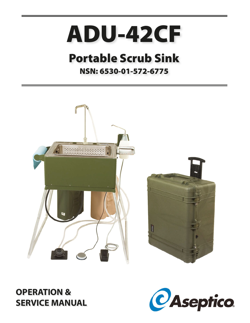# **ADU-42CF**

## **Portable Scrub Sink**

### **NSN: 6530-01-572-6775**



### **OPERATION & SERVICE MANUAL**

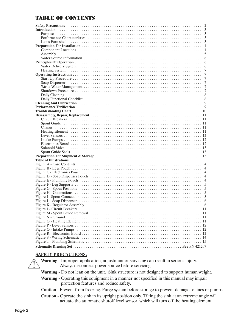#### TABLE OF CONTENTS

| <b>Table of Illustrations</b> |
|-------------------------------|
|                               |
|                               |
|                               |
|                               |
|                               |
|                               |
|                               |
|                               |
|                               |
|                               |
|                               |
|                               |
|                               |
|                               |
|                               |
|                               |
|                               |
|                               |
|                               |
|                               |
|                               |

#### **SAFETY PRECAUTIONS:**

 **Warning** - Improper application, adjustment or servicing can result in serious injury. Always disconnect power source before servicing.

**Warning** - Do not lean on the unit. Sink structure is not designed to support human weight.

 **Warning** - Operating this equipment in a manner not specified in this manual may impair protection features and reduce safety.

**Caution** - Prevent from freezing. Purge system before storage to prevent damage to lines or pumps.

 **Caution** - Operate the sink in its upright position only. Tilting the sink at an extreme angle will actuate the automatic shutoff level sensor, which will turn off the heating element.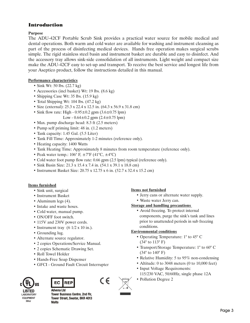#### Introduction

#### **Purpose**

The ADU-42CF Portable Scrub Sink provides a practical water source for mobile medical and dental operations. Both warm and cold water are available for washing and instrument cleansing as part of the process of disinfecting medical devices. Hands free operation makes surgical scrubs simple. The rigid stainless steel basin and instrument basket are durable and easy to disinfect. And the accessory tray allows sink-side consolidation of all instruments. Light weight and compact size make the ADU-42CF easy to set-up and transport. To receive the best service and longest life from your Aseptico product, follow the instructions detailed in this manual.

#### **Performance characteristics**

- Sink Wt: 50 lbs. (22.7 kg)
- Accessories (incl basket) Wt: 19 lbs. (8.6 kg)
- Shipping Case Wt: 35 lbs. (15.9 kg)
- Total Shipping Wt: 104 lbs. (47.2 kg)
- Size (external): 25.3 x 22.4 x 12.5 in. (64.3 x 56.9 x 31.8 cm)
- Sink flow rate: High  $0.95 \pm 0.2$  gpm  $(3.6 \pm 0.75$  lpm)
	- Low  $0.64 \pm 0.2$  gpm  $(2.4 \pm 0.75$  lpm)
- Max. pump discharge head: 8.3 ft (2.5 meters)
- Pump self priming limit: 48 in. (1.2 meters)
- Tank capacity: 1.45 Gal. (5.5 Liter)
- Tank Fill Time: Approximately 1-2 minutes (reference only).
- Heating capacity: 1400 Watts
- Tank Heating Time: Approximately 8 minutes from room temperature (reference only).
- Peak water temp.:  $106^{\circ}$  F,  $\pm 7^{\circ}$ F (41°C,  $\pm 4^{\circ}$ C)
- Cold water foot pump flow rate: 0.66 gpm (2.5 lpm) typical (reference only).
- Sink Basin Size: 21.3 x 15.4 x 7.4 in. (54.1 x 39.1 x 18.8 cm)
- Instrument Basket Size: 20.75 x 12.75 x 6 in. (52.7 x 32.4 x 15.2 cm)

#### **Items furnished**

- Sink unit, surgical
- Instrument Basket
- Aluminum legs (4).
- Intake and waste hoses.
- Cold water, manual pump.
- ON/OFF foot switch.
- 115V and 230V power cords.
- Instrument tray  $(6 \frac{1}{2} \times 10 \text{ in.})$ .
- Grounding lug.
- Alternate source regulator.
- 2 copies Operations/Service Manual.
- 2 copies Schematic Drawing Set.
- Roll Towel Holder
- Hands-Free Soap Dispenser
- GFCI Ground Fault Circuit Interrupter





**Advena Ltd Tower Business Centre, 2nd Flr,** Tower Street, Swatar, BKR 4013 **Malta** 

#### **Items not furnished**

- Jerry cans or alternate water supply.
- Waste water Jerry can.

#### **Storage and handling precautions**

• Avoid freezing. To protect internal components, purge the sink's tank and lines prior to unattended periods in sub freezing conditions.

#### **Environmental conditions**

- Operating Temperature: 1° to 45° C (34° to 113° F)
- Transport/Storage Temperature: 1° to 60° C (34° to 140° F)
- Relative Humidity: 5 to 95% non-condensing
- Altitude: 0 to 3048 meters (0 to 10,000 feet) • Input Voltage Requirements: 115/230 VAC, 50/60Hz, single phase 12A
- Pollution Degree 2

 $\epsilon$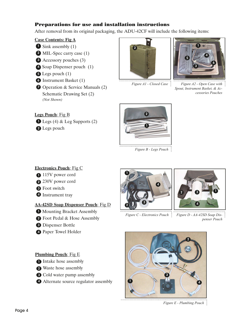#### Preparations for use and installation instructions

After removal from its original packaging, the ADU-42CF will include the following items:

#### **Case Contents: Fig A**

- **D** Sink assembly (1)
- 2 MIL-Spec carry case (1)
- Accessory pouches (3) 3
- **4** Soap Dispenser pouch (1)
- **5** Legs pouch  $(1)$
- **6** Instrument Basket (1)
- **7** Operation & Service Manuals (2) Schematic Drawing Set (2) *(Not Shown)*



*Figure A1 - Closed Case* 



*Figure A2 - Open Case with Spout, Instrument Basket, & Accessories Pouches*

#### **Legs Pouch**: Fig B

 $\bf{D}$  Legs (4) & Leg Supports (2)

2 Legs pouch



*Figure B - Legs Pouch* 

#### **Electronics Pouch**: Fig C

- 115V power cord
- 2 230V power cord
- **3** Foot switch
- **4** Instrument tray

#### **AA-42SD Soap Dispenser Pouch**: Fig D

- **D** Mounting Bracket Assembly
- 2 Foot Pedal & Hose Assembly
- **3** Dispenser Bottle
- Paper Towel Holder 4

#### **Plumbing Pouch**: Fig E

- **1** Intake hose assembly
- 2 Waste hose assembly
- **3** Cold water pump assembly
- 4 Alternate source regulator assembly



*Figure C - Electronics Pouch*



*Figure D - AA-42SD Soap Dispenser Pouch*



*Figure E - Plumbing Pouch*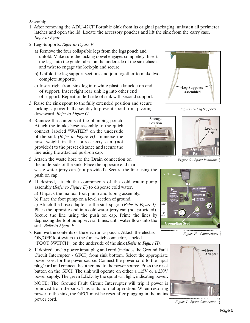#### **Assembly**

- 1. After removing the ADU-42CF Portable Sink from its original packaging, unfasten all perimeter latches and open the lid. Locate the accessory pouches and lift the sink from the carry case. *Refer to Figure A*
- 2. Leg-Supports: *Refer to Figure F*
	- **a)** Remove the four collapsible legs from the legs pouch and unfold. Make sure the locking dowel engages completely. Insert the legs into the guide tubes on the underside of the sink chassis and twist to engage the lock-pin and secure.
	- **b)** Unfold the leg support sections and join together to make two complete supports.
	- **c)** Insert right front sink leg into white plastic knuckle on end of support. Insert right rear sink leg into other end of support. Repeat on left side of sink with second support.
- 3. Raise the sink spout to the fully extended position and secure locking cap over ball assembly to prevent spout from pivoting downward. *Refer to Figure G*
- 4. Remove the contents of the plumbing pouch. Attach the intake hose assembly to the quick connect, labeled "WATER" on the underside of the sink *(Refer to Figure H)*. Immerse the hose weight in the source jerry can (not provided) to the preset distance and secure the line using the attached push-on cap.

5. Attach the waste hose to the Drain connection on the underside of the sink. Place the opposite end in a waste water jerry can (not provided). Secure the line using the push on cap.

**6.** If desired, attach the components of the cold water pump assembly (*Refer to Figure E*) to dispense cold water.

**a)** Unpack the manual foot pump and tubing assembly.

**b)** Place the foot pump on a level section of ground.

**c)** Attach the hose adapter to the sink spigot (*Refer to Figure I).* Place the opposite end in a cold water jerry can (not provided). Secure the line using the push on cap. Prime the lines by depressing the foot pump several times, until water flows into the sink. *Refer to Figure E*

- 7. Remove the contents of the electronics pouch. Attach the electric ON/OFF foot switch to the foot switch connector, labeled "FOOT SWITCH", on the underside of the sink (*Refer to Figure H).*
- 8. If desired, unclip power input plug and cord (includes the Ground Fault Circuit Interrupter - GFCI) from sink bottom. Select the appropriate power cord for the power source. Connect the power cord to the input plug/cord and connect the other end to the power source. Press the reset button on the GFCI. The sink will operate on either a 115V or a 230V power supply. The green L.E.D. by the spout will light, indicating power.

NOTE: The Ground Fault Circuit Interrupter will trip if power is removed from the sink. This is its normal operation. When restoring power to the sink, the GFCI must be reset after plugging in the mains power cord.

**Leg Supports Assembled**





*Figure G - Spout Positions*



*Figure H - Connections*



................................... *Figure I - Spout Connection*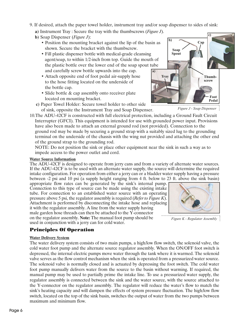Page 6

- 9. If desired, attach the paper towel holder, instrument tray and/or soap dispenser to sides of sink:
	- **a)** Instrument Tray : Secure the tray with the thumbscrews (*Figure J*).
	- **b)** Soap Dispenser (*Figure J*):
		- Position the mounting bracket against the lip of the basin as shown. Secure the bracket with the thumbscrew.
		- Fill plastic dispenser bottle with medical-grade cleansing agent/soap, to within 1/2-inch from top. Guide the mouth of the plastic bottle over the lower end of the soap spout tube and carefully screw bottle upwards into the cap. **a)**
		- Attach opposite end of foot pedal air-supply hose to the hose fitting located on the underside of the bottle cap.
		- Slide bottle & cap assembly onto receiver plate located on mounting bracket.
	- **c)** Paper Towel Holder: Secure towel holder to other side of sink, opposite the Instrument Tray and Soap Dispenser.
- 10.The ADU-42CF is constructed with full electrical protection, including a Ground Fault Circuit Interrupter (GFCI). This equipment is intended for use with grounded power input. Provisions have also been made to attach an external ground rod (not provided). Connection to the ground rod may be made by securing a ground strap with a suitably sized lug to the grounding terminal on the underside of the chassis with the wing nut provided and attaching the other end of the ground strap to the grounding rod.

NOTE: Do not position the sink or place other equipment near the sink in such a way as to impede access to the power outlet and cord.

#### **Water Source Information**

The ADU-42CF is designed to operate from jerry cans and from a variety of alternate water sources. If the ADU-42CF is to be used with an alternate water supply, the source will determine the required intake configuration. For operation from either a jerry can or a bladder water supply having a pressure between -2 psi and 10 psi (a supply height ranging from 4 ft. below to 23 ft. above the sink basin)

appropriate flow rates can be generated by the sink's internal pump. Connection to this type of source can be made using the existing intake tube. For connection to an established water source with an operating pressure above 5 psi, the regulator assembly is required (*Refer to Figure K*). Attachment is performed by disconnecting the intake hose and replacing it with the regulator assembly. A line from the water supply having male garden hose threads can then be attached to the Y-connector on the regulator assembly. **Note:** The manual foot pump should be used in conjunction with a jerry can for cold water.

#### Principles Of Operation

#### **Water Delivery System**

The water delivery system consists of two main pumps, a high/low flow switch, the solenoid valve, the cold water foot pump and the alternate source regulator assembly. When the ON/OFF foot switch is depressed, the internal electric pumps move water through the tank where it is warmed. The solenoid valve serves as the flow control mechanism when the sink is operated from a pressurized water source. The solenoid valve is normally closed and is actuated by depressing the foot switch. The cold water foot pump manually delivers water from the source to the basin without warming. If required, the manual pump may be used to partially prime the intake line. To use a pressurized water supply, the regulator assembly is connected between the sink and the water source, with the source attached to the Y-connector on the regulator assembly. The regulator will reduce the water's flow to match the sink's heating capacity and will dampen the effects of system pressure fluctuation. The high/low flow switch, located on the top of the sink basin, switches the output of water from the two pumps between maximum and minimum flow.

*Figure J - Soap Dispenser*



*Figure K - Regulator Assembly*

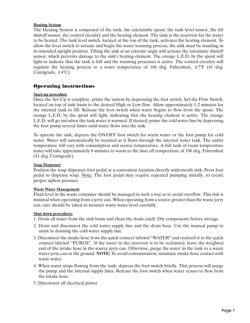#### **Heating System**

The Heating System is composed of the tank, the extendable spout, the tank level sensor, the tilt shutoff sensor, the control circuitry and the heating element. The tank is the reservoir for the water to be heated. The tank level switch, located at the top of the tank, activates the heating element. To allow the level switch to actuate and begin the water warming process, the sink must be standing in its intended upright position. Tilting the sink at an extreme angle will actuate the automatic shutoff sensor, which prevents damage to the sink's heating element. The orange L.E.D. by the spout will light to indicate that the tank is full and the warming processes is active. The control circuitry will regulate the heating process to a water temperature of 106 deg. Fahrenheit,  $\pm 7^{\circ}$ F (41 deg. Centigrade,  $\pm$ 4°C).

#### Operating instructions

#### **Start-up procedure**

Once the Set-Up is complete, prime the system by depressing the foot switch. Set the Flow Switch, located on top of sink basin to the desired High or Low flow. Allow approximately 1-2 minutes for the internal tank to fill. Release the foot switch when water begins to flow from the spout. The orange L.E.D. by the spout will light, indicating that the heating element is active. The orange L.E.D. will go out when the tank water is warmed. If desired, prime the cold water line by depressing the foot pump several times until water flows into the sink.

To operate the sink, depress the ON/OFF foot switch for warm water or the foot pump for cold water. Water will automatically be warmed as it flows through the internal water tank. The outlet temperature will vary with consumption and source temperature. A full tank of room temperature water will take approximately 8 minutes to warm to the shut off temperature of 106 deg. Fahrenheit (41 deg. Centigrade).

#### **Soap Dispenser**

Position the soap dispenser foot pedal at a convenient location directly underneath sink. Press foot pedal to dispense soap. Note: The foot pedal may require repeated pumping initially, to create proper siphon pressure.

#### **Waste Water Management**

Fluid level in the waste container should be managed in such a way as to avoid overflow. This risk is minimal when operating from a jerry can. When operating from a source greater than the waste jerry can, care should be taken to monitor waste water level carefully.

#### **Shut down procedures**

- 1. Drain all water from the sink basin and clean the drain catch. Dry components before storage.
- 2. Drain and disconnect the cold water supply line and the drain hose. Use the manual pump to assist in draining the cold water supply line.
- 3. Disconnect the intake hose from the quick connect labeled "WATER" and reattach it to the quick connect labeled "PURGE". If the water in the reservoir is to be reclaimed, leave the weighted end of the intake hose in the source jerry can. Otherwise, purge the water in the tank to a waste water jerry can or the ground. **NOTE:** To avoid contamination, minimize intake hose contact with waste water.
- 4. When water stops flowing from the tank, depress the foot switch briefly. This process will purge the pump and the internal supply lines. Release the foot switch when water ceases to flow from the intake hose.
- 5. Disconnect all electrical power.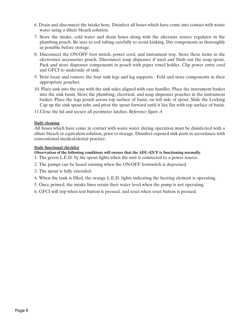- 6. Drain and disconnect the intake hose. Disinfect all hoses which have come into contact with waste water using a dilute bleach solution.
- 7. Store the intake, cold water and drain hoses along with the alternate source regulator in the plumbing pouch. Be sure to coil tubing carefully to avoid kinking. Dry components as thoroughly as possible before storage.
- 8. Disconnect the ON/OFF foot switch, power cord, and instrument tray. Store these items in the electronics accessories pouch. Disconnect soap dispenser if used and flush out the soap spout. Pack and store dispenser components in pouch with paper towel holder. Clip power entry cord and GFCI to underside of sink.
- 9. Twist loose and remove the four sink legs and leg supports. Fold and store components in their appropriate pouches.
- 10. Place sink into the case with the sink sides aligned with case handles. Place the instrument basket into the sink basin. Store the plumbing, electrical, and soap dispenser pouches in the instrument basket. Place the legs pouch across top surface of basin, on left side of spout. Slide the Locking Cap up the sink spout tube and pivot the spout forward until it lies flat with top surface of basin.
- 11.Close the lid and secure all perimeter latches. *Reference figure A*

#### **Daily cleaning**

All hoses which have come in contact with waste water during operation must be disinfected with a dilute bleach or equivalent solution, prior to storage. Disinfect exposed sink parts in accordance with conventional medical/dental practice.

#### **Daily functional checklist**

- **Observation of the following conditions will ensure that the ADU-42CF is functioning normally.**
- 1. The green L.E.D. by the spout lights when the unit is connected to a power source.
- 2. The pumps can be heard running when the ON/OFF footswitch is depressed.
- 3. The spout is fully extended.
- 4. When the tank is filled, the orange L.E.D. lights indicating the heating element is operating.
- 5. Once primed, the intake lines retain their water level when the pump is not operating.
- 6. GFCI will trip when test button is pressed, and reset when reset button is pressed.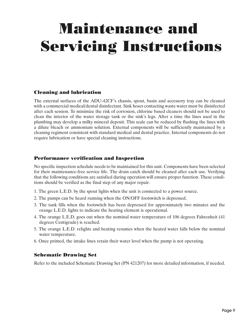# Maintenance and Servicing Instructions

#### Cleaning and lubrication

The external surfaces of the ADU-42CF's chassis, spout, basin and accessory tray can be cleaned with a commercial medical/dental disinfectant. Sink hoses contacting waste water must be disinfected after each session. To minimize the risk of corrosion, chlorine based cleaners should not be used to clean the interior of the water storage tank or the sink's legs. After a time the lines used in the plumbing may develop a milky mineral deposit. This scale can be reduced by flushing the lines with a dilute bleach or ammonium solution. External components will be sufficiently maintained by a cleaning regiment consistent with standard medical and dental practice. Internal components do not require lubrication or have special cleaning instructions.

#### Performance verification and Inspection

No specific inspection schedule needs to be maintained for this unit. Components have been selected for their maintenance-free service life. The drain catch should be cleaned after each use. Verifying that the following conditions are satisfied during operation will ensure proper function. These conditions should be verified as the final step of any major repair.

- 1. The green L.E.D. by the spout lights when the unit is connected to a power source.
- 2. The pumps can be heard running when the ON/OFF footswitch is depressed.
- 3. The tank fills when the footswitch has been depressed for approximately two minutes and the orange L.E.D. lights to indicate the heating element is operational.
- 4. The orange L.E.D. goes out when the nominal water temperature of 106 degrees Fahrenheit (41 degrees Centigrade) is reached.
- 5. The orange L.E.D. relights and heating resumes when the heated water falls below the nominal water temperature.
- 6. Once primed, the intake lines retain their water level when the pump is not operating.

#### Schematic Drawing Set

Refer to the included Schematic Drawing Set (PN 421207) for more detailed information, if needed.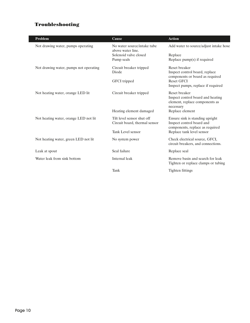#### Troubleshooting

I

| Problem                                | Cause                                            | <b>Action</b>                                                       |
|----------------------------------------|--------------------------------------------------|---------------------------------------------------------------------|
| Not drawing water, pumps operating     | No water source/intake tube<br>above water line. | Add water to source/adjust intake hose                              |
|                                        | Solenoid valve closed                            | Replace                                                             |
|                                        | Pump seals                                       | Replace $pump(s)$ if required                                       |
| Not drawing water, pumps not operating | Circuit breaker tripped                          | Reset breaker                                                       |
|                                        | Diode                                            | Inspect control board, replace<br>components or board as required   |
|                                        | GFCI tripped                                     | <b>Reset GFCI</b>                                                   |
|                                        |                                                  | Inspect pumps, replace if required                                  |
| Not heating water, orange LED lit      | Circuit breaker tripped                          | Reset breaker                                                       |
|                                        |                                                  | Inspect control board and heating<br>element, replace components as |
|                                        |                                                  | necessary                                                           |
|                                        | Heating element damaged                          | Replace element                                                     |
| Not heating water, orange LED not lit  | Tilt level sensor shut off                       | Ensure sink is standing upright                                     |
|                                        | Circuit board, thermal sensor                    | Inspect control board and                                           |
|                                        | Tank Level sensor                                | components, replace as required<br>Replace tank level sensor        |
| Not heating water, green LED not lit   | No system power                                  | Check electrical source, GFCI,                                      |
|                                        |                                                  | circuit breakers, and connections.                                  |
| Leak at spout                          | Seal failure                                     | Replace seal                                                        |
| Water leak from sink bottom            | Internal leak                                    | Remove basin and search for leak                                    |
|                                        |                                                  | Tighten or replace clamps or tubing                                 |
|                                        | Tank                                             | Tighten fittings                                                    |
|                                        |                                                  |                                                                     |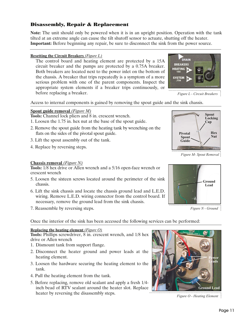#### Disassembly, Repair & Replacement

**Note:** The unit should only be powered when it is in an upright position. Operation with the tank tilted at an extreme angle can cause the tilt shutoff sensor to actuate, shutting off the heater. **Important:** Before beginning any repair, be sure to disconnect the sink from the power source.

#### **Resetting the Circuit Breakers** *(Figure L)*

The control board and heating element are protected by a 15A circuit breaker and the pumps are protected by a 0.75A breaker. Both breakers are located next to the power inlet on the bottom of the chassis. A breaker that trips repeatedly is a symptom of a more serious problem with one of the parent components. Inspect the appropriate system elements if a breaker trips continuously, or before replacing a breaker.



*Figure L - Circuit Breakers*

Access to internal components is gained by removing the spout guide and the sink chassis.

#### **Spout guide removal** *(Figure M)*

**Tools:** Channel lock pliers and 8 in. crescent wrench.

- 1. Loosen the 1.75 in. hex nut at the base of the spout guide.
- 2. Remove the spout guide from the heating tank by wrenching on the flats on the sides of the pivotal spout guide.
- 3. Lift the spout assembly out of the tank.
- 4. Replace by reversing steps.

#### **Chassis removal** *(Figure N)*

**Tools:** 1/8 hex drive or Allen wrench and a 5/16 open-face wrench or crescent wrench

- 5. Loosen the sixteen screws located around the perimeter of the sink chassis.
- 6. Lift the sink chassis and locate the chassis ground lead and L.E.D. wiring. Remove L.E.D. wiring connector from the control board. If necessary, remove the ground lead from the sink chassis.
- 7. Reassemble by reversing steps.

Once the interior of the sink has been accessed the following services can be performed:

#### **Replacing the heating element** *(Figure O)*

**Tools:** Phillips screwdriver, 8 in. crescent wrench, and 1/8 hex drive or Allen wrench

- 1. Dismount tank from support flange.
- 2. Disconnect the heater ground and power leads at the heating element.
- 3. Loosen the hardware securing the heating element to the tank.
- 4. Pull the heating element from the tank.
- 5. Before replacing, remove old sealant and apply a fresh 1/4 inch bead of RTV sealant around the heater slot. Replace heater by reversing the disassembly steps.

**Ground Lead Power Leads**

*Figure O - Heating Element*

**Ground Lead**

*Figure N - Ground*

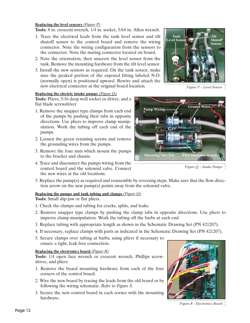#### **Replacing the level sensors** *(Figure P)*

**Tools:** 8 in. crescent wrench, 1/4 in. socket, 5/64 in. Allen wrench.

- 1. Trace the electrical leads from the tank level sensor and tilt shutoff sensor to the control board and remove the wiring connector. Note the wiring configuration from the sensors to the connector. Note the mating connector located on board.
- 2. Note the orientation, then unscrew the level sensor from the tank. Remove the mounting hardware from the tilt level sensor.
- 3. Install the new sensors as required. On the tank sensor, make sure the peaked portion of the exposed fitting labeled N.O. (normally open) is positioned upward. Rewire and attach the new electrical connector at the original board location.

#### **Replacing the electric intake pumps** *(Figure Q)*

**Tools:** Pliers, 5/16 deep well socket or driver, and a flat blade screwdriver

- 1. Remove the snapper type clamps from each end of the pumps by pushing their tabs in opposite directions. Use pliers to improve clamp manipulation. Work the tubing off each end of the pumps.
- 2. Loosen the green retaining screws and remove the grounding wires from the pumps.
- 3. Remove the four nuts which mount the pumps to the bracket and chassis.
- 4. Trace and disconnect the pumps wiring from the control board and the solenoid valve. Connect the new wires at the old locations.



*Figure P - Level Sensor*



*Figure Q - Intake Pumps*

5. Replace the pump(s) as required and reassemble by reversing steps. Make sure that the flow direction arrow on the new pump(s) points away from the solenoid valve.

#### **Replacing the pumps and tank tubing and clamps** *(Figure Q)*

**Tools:** Small slip-jaw or flat pliers.

- 1. Check the clamps and tubing for cracks, splits, and leaks.
- 2. Remove snapper type clamps by pushing the clamp tabs in opposite directions. Use pliers to improve clamp manipulation. Work the tubing off the barbs at each end.
- 3. Replace tubing with appropriate length as shown in the Schematic Drawing Set (PN 421207).
- 4. If necessary, replace clamps with parts as indicated in the Schematic Drawing Set (PN 421207).
- 5. Secure clamps over tubing at barbs, using pliers if necessary to ensure a tight, leak-free connection.

#### **Replacing the electronics board** *(Figure R)*

**Tools:** 1/4 open face wrench or crescent wrench, Phillips screwdriver, and pliers

- 1. Remove the board mounting hardware from each of the four corners of the control board.
- 2. Wire the new board by tracing the leads from the old board or by following the wiring schematic. *Refer to Figure S.*
- 3. Secure the new control board in each corner with the mounting hardware.



*Figure R - Electronics Board*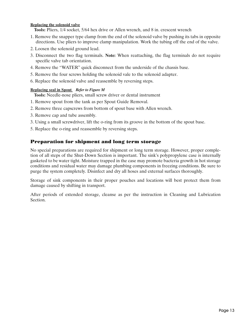#### **Replacing the solenoid valve**

**Tools:** Pliers, 1/4 socket, 5/64 hex drive or Allen wrench, and 8 in. crescent wrench

- 1. Remove the snapper type clamp from the end of the solenoid valve by pushing its tabs in opposite directions. Use pliers to improve clamp manipulation. Work the tubing off the end of the valve.
- 2. Loosen the solenoid ground lead.
- 3. Disconnect the two flag terminals. **Note:** When reattaching, the flag terminals do not require specific valve tab orientation.
- 4. Remove the "WATER" quick disconnect from the underside of the chassis base.
- 5. Remove the four screws holding the solenoid vale to the solenoid adapter.
- 6. Replace the solenoid valve and reassemble by reversing steps.

#### **Replacing seal in Spout** *Refer to Figure M*

**Tools:** Needle-nose pliers, small screw driver or dental instrument

- 1. Remove spout from the tank as per Spout Guide Removal.
- 2. Remove three capscrews from bottom of spout base with Allen wrench.
- 3. Remove cap and tube assembly.
- 3. Using a small screwdriver, lift the o-ring from its groove in the bottom of the spout base.
- 5. Replace the o-ring and reassemble by reversing steps.

#### Preparation for shipment and long term storage

No special preparations are required for shipment or long term storage. However, proper completion of all steps of the Shut-Down Section is important. The sink's polypropylene case is internally gasketed to be water tight. Moisture trapped in the case may promote bacteria growth in hot storage conditions and residual water may damage plumbing components in freezing conditions. Be sure to purge the system completely. Disinfect and dry all hoses and external surfaces thoroughly.

Storage of sink components in their proper pouches and locations will best protect them from damage caused by shifting in transport.

After periods of extended storage, cleanse as per the instruction in Cleaning and Lubrication Section.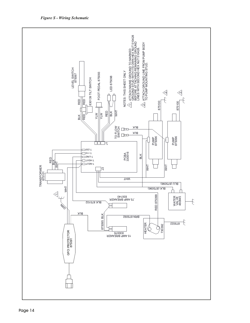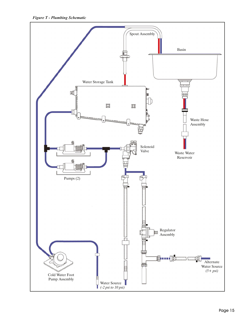